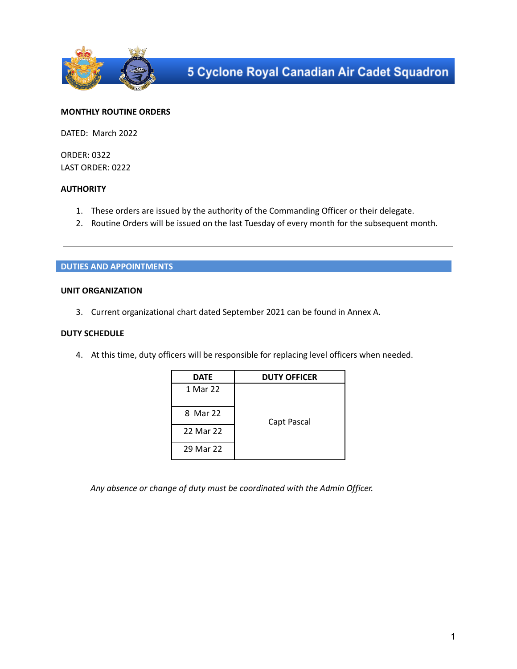

# **MONTHLY ROUTINE ORDERS**

DATED: March 2022

ORDER: 0322 LAST ORDER: 0222

# **AUTHORITY**

- 1. These orders are issued by the authority of the Commanding Officer or their delegate.
- 2. Routine Orders will be issued on the last Tuesday of every month for the subsequent month.

### **DUTIES AND APPOINTMENTS**

# **UNIT ORGANIZATION**

3. Current organizational chart dated September 2021 can be found in Annex A.

### **DUTY SCHEDULE**

4. At this time, duty officers will be responsible for replacing level officers when needed.

| <b>DATE</b> | <b>DUTY OFFICER</b> |  |
|-------------|---------------------|--|
| 1 Mar 22    |                     |  |
| 8 Mar 22    | Capt Pascal         |  |
| 22 Mar 22   |                     |  |
| 29 Mar 22   |                     |  |

*Any absence or change of duty must be coordinated with the Admin Officer.*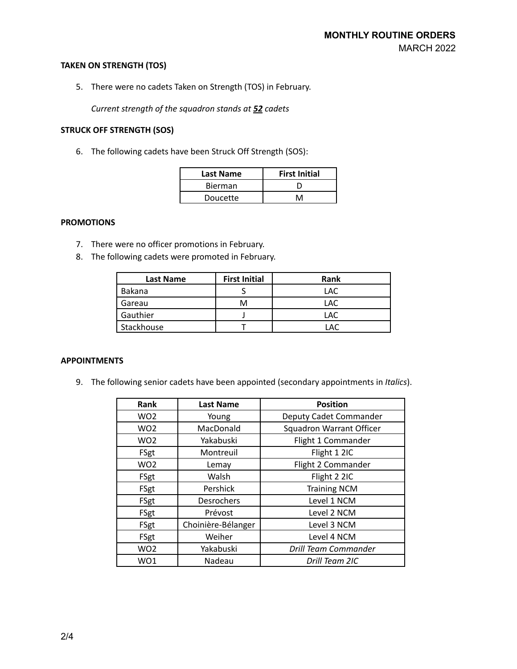## **TAKEN ON STRENGTH (TOS)**

5. There were no cadets Taken on Strength (TOS) in February.

*Current strength of the squadron stands at 52 cadets*

## **STRUCK OFF STRENGTH (SOS)**

6. The following cadets have been Struck Off Strength (SOS):

| <b>Last Name</b> | <b>First Initial</b> |
|------------------|----------------------|
| Bierman          |                      |
| Doucette         | М                    |

# **PROMOTIONS**

- 7. There were no officer promotions in February.
- 8. The following cadets were promoted in February.

| <b>Last Name</b> | <b>First Initial</b> | <b>Rank</b> |
|------------------|----------------------|-------------|
| Bakana           |                      | LAC         |
| Gareau           |                      | LAC         |
| Gauthier         |                      | LAC         |
| Stackhouse       |                      | ۱ A C       |

# **APPOINTMENTS**

9. The following senior cadets have been appointed (secondary appointments in *Italics*).

| Rank            | <b>Last Name</b>   | <b>Position</b>                 |
|-----------------|--------------------|---------------------------------|
| WO <sub>2</sub> | Young              | Deputy Cadet Commander          |
| WO <sub>2</sub> | MacDonald          | <b>Squadron Warrant Officer</b> |
| WO <sub>2</sub> | Yakabuski          | Flight 1 Commander              |
| FSgt            | Montreuil          | Flight 1 2IC                    |
| WO <sub>2</sub> | Lemay              | Flight 2 Commander              |
| FSgt            | Walsh              | Flight 2 2IC                    |
| FSgt            | Pershick           | <b>Training NCM</b>             |
| FSgt            | <b>Desrochers</b>  | Level 1 NCM                     |
| FSgt            | Prévost            | Level 2 NCM                     |
| FSgt            | Choinière-Bélanger | Level 3 NCM                     |
| FSgt            | Weiher             | Level 4 NCM                     |
| WO <sub>2</sub> | Yakabuski          | <b>Drill Team Commander</b>     |
| WO <sub>1</sub> | Nadeau             | Drill Team 2IC                  |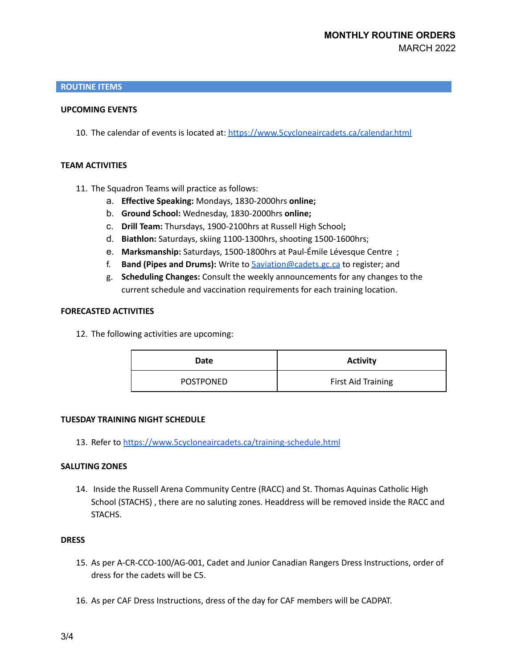#### **ROUTINE ITEMS**

#### **UPCOMING EVENTS**

10. The calendar of events is located at: <https://www.5cycloneaircadets.ca/calendar.html>

#### **TEAM ACTIVITIES**

- 11. The Squadron Teams will practice as follows:
	- a. **Effective Speaking:** Mondays, 1830-2000hrs **online;**
	- b. **Ground School:** Wednesday, 1830-2000hrs **online;**
	- c. **Drill Team:** Thursdays, 1900-2100hrs at Russell High School**;**
	- d. **Biathlon:** Saturdays, skiing 1100-1300hrs, shooting 1500-1600hrs;
	- e. **Marksmanship:** Saturdays, 1500-1800hrs at Paul-Émile Lévesque Centre ;
	- f. **Band (Pipes and Drums):** Write to [5aviation@cadets.gc.ca](mailto:5aviation@cadets.gc.ca) to register; and
	- g. **Scheduling Changes:** Consult the weekly announcements for any changes to the current schedule and vaccination requirements for each training location.

### **FORECASTED ACTIVITIES**

12. The following activities are upcoming:

| Date             | <b>Activity</b>           |
|------------------|---------------------------|
| <b>POSTPONED</b> | <b>First Aid Training</b> |

### **TUESDAY TRAINING NIGHT SCHEDULE**

13. Refer to <https://www.5cycloneaircadets.ca/training-schedule.html>

### **SALUTING ZONES**

14. Inside the Russell Arena Community Centre (RACC) and St. Thomas Aquinas Catholic High School (STACHS) , there are no saluting zones. Headdress will be removed inside the RACC and STACHS.

### **DRESS**

- 15. As per A-CR-CCO-100/AG-001, Cadet and Junior Canadian Rangers Dress Instructions, order of dress for the cadets will be C5.
- 16. As per CAF Dress Instructions, dress of the day for CAF members will be CADPAT.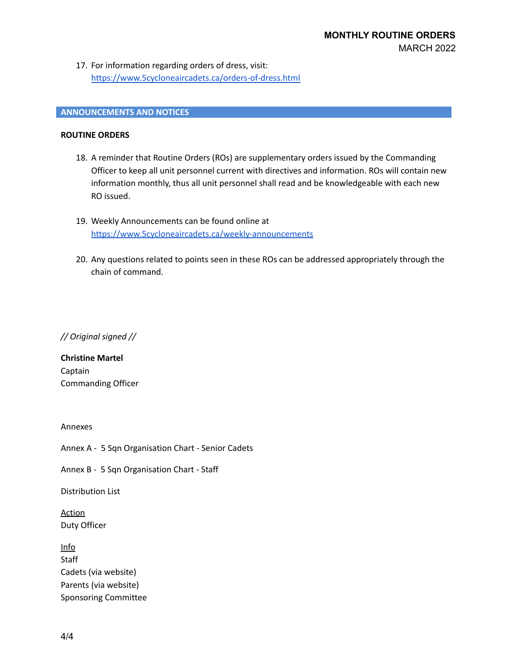17. For information regarding orders of dress, visit: <https://www.5cycloneaircadets.ca/orders-of-dress.html>

# **ANNOUNCEMENTS AND NOTICES**

# **ROUTINE ORDERS**

- 18. A reminder that Routine Orders (ROs) are supplementary orders issued by the Commanding Officer to keep all unit personnel current with directives and information. ROs will contain new information monthly, thus all unit personnel shall read and be knowledgeable with each new RO issued.
- 19. Weekly Announcements can be found online at <https://www.5cycloneaircadets.ca/weekly-announcements>
- 20. Any questions related to points seen in these ROs can be addressed appropriately through the chain of command.

*// Original signed //*

**Christine Martel** Captain Commanding Officer

Annexes

Annex A - 5 Sqn Organisation Chart - Senior Cadets

Annex B - 5 Sqn Organisation Chart - Staff

Distribution List

Action Duty Officer

Info **Staff** Cadets (via website) Parents (via website) Sponsoring Committee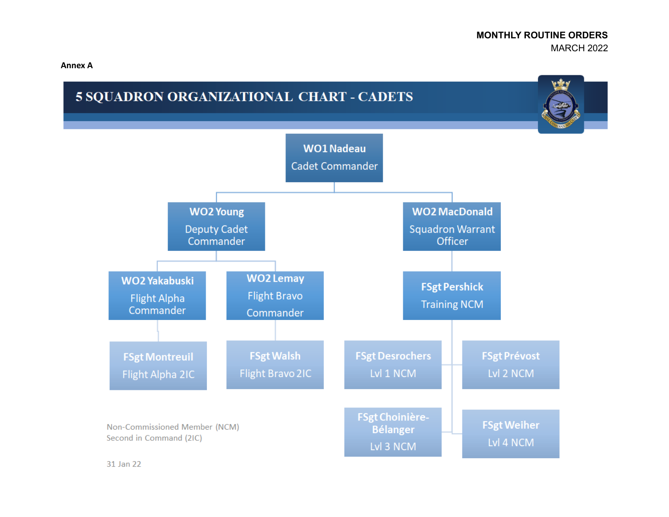**Annex A** 



31 Jan 22